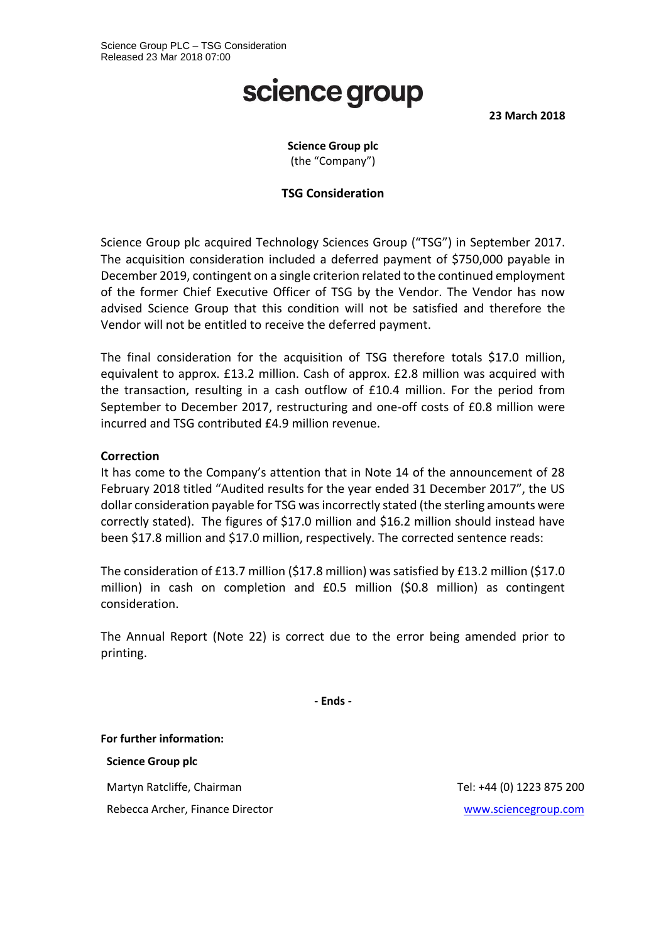# science group

**23 March 2018**

## **Science Group plc** (the "Company")

## **TSG Consideration**

Science Group plc acquired Technology Sciences Group ("TSG") in September 2017. The acquisition consideration included a deferred payment of \$750,000 payable in December 2019, contingent on a single criterion related to the continued employment of the former Chief Executive Officer of TSG by the Vendor. The Vendor has now advised Science Group that this condition will not be satisfied and therefore the Vendor will not be entitled to receive the deferred payment.

The final consideration for the acquisition of TSG therefore totals \$17.0 million, equivalent to approx. £13.2 million. Cash of approx. £2.8 million was acquired with the transaction, resulting in a cash outflow of £10.4 million. For the period from September to December 2017, restructuring and one-off costs of £0.8 million were incurred and TSG contributed £4.9 million revenue.

### **Correction**

It has come to the Company's attention that in Note 14 of the announcement of 28 February 2018 titled "Audited results for the year ended 31 December 2017", the US dollar consideration payable for TSG was incorrectly stated (the sterling amounts were correctly stated). The figures of \$17.0 million and \$16.2 million should instead have been \$17.8 million and \$17.0 million, respectively. The corrected sentence reads:

The consideration of £13.7 million (\$17.8 million) was satisfied by £13.2 million (\$17.0 million) in cash on completion and £0.5 million (\$0.8 million) as contingent consideration.

The Annual Report (Note 22) is correct due to the error being amended prior to printing.

**- Ends -**

**For further information:**

**Science Group plc**

Martyn Ratcliffe, Chairman Tel: +44 (0) 1223 875 200

Rebecca Archer, Finance Director [www.sciencegroup.com](http://www.sciencegroup.com/)